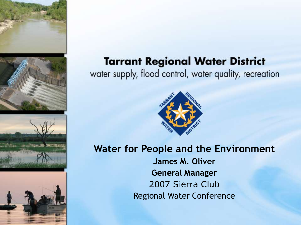







#### **Tarrant Regional Water District**

water supply, flood control, water quality, recreation



**Water for People and the Environment James M. Oliver General Manager**  2007 Sierra Club Regional Water Conference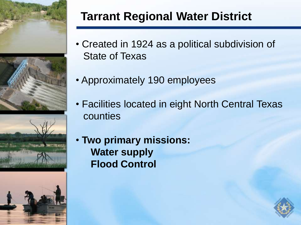







#### **Tarrant Regional Water District**

- Created in 1924 as a political subdivision of State of Texas
- Approximately 190 employees
- Facilities located in eight North Central Texas counties
- **Two primary missions: Water supply Flood Control**

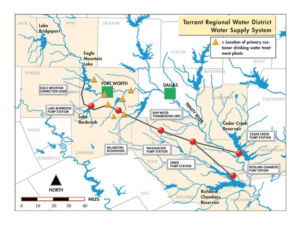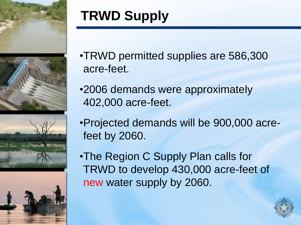







# **TRWD Supply**

- •TRWD permitted supplies are 586,300 acre-feet.
- •2006 demands were approximately 402,000 acre-feet.
- •Projected demands will be 900,000 acrefeet by 2060.
- •The Region C Supply Plan calls for TRWD to develop 430,000 acre-feet of new water supply by 2060.

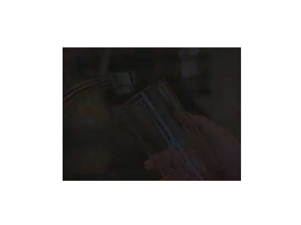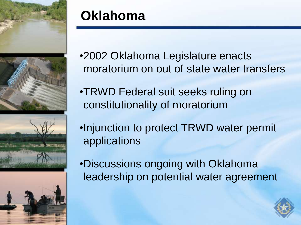

#### **Oklahoma**

- •2002 Oklahoma Legislature enacts moratorium on out of state water transfers
- •TRWD Federal suit seeks ruling on constitutionality of moratorium
- •Injunction to protect TRWD water permit applications
- •Discussions ongoing with Oklahoma leadership on potential water agreement

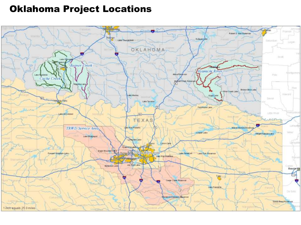#### Oklahoma Project Locations

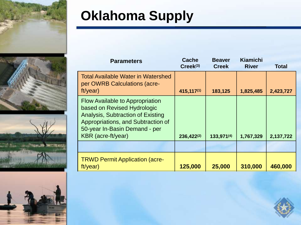





#### **Oklahoma Supply**

| <b>Parameters</b>                                                                                                                                                                                              | Cache<br>Creek <sup>(3)</sup> | <b>Beaver</b><br><b>Creek</b> | <b>Kiamichi</b><br><b>River</b> | <b>Total</b> |
|----------------------------------------------------------------------------------------------------------------------------------------------------------------------------------------------------------------|-------------------------------|-------------------------------|---------------------------------|--------------|
| <b>Total Available Water in Watershed</b><br>per OWRB Calculations (acre-<br>ft/year)                                                                                                                          | 415,117(1)                    | 183,125                       | 1,825,485                       | 2,423,727    |
| <b>Flow Available to Appropriation</b><br>based on Revised Hydrologic<br><b>Analysis, Subtraction of Existing</b><br>Appropriations, and Subtraction of<br>50-year In-Basin Demand - per<br>KBR (acre-ft/year) | 236,422(2)                    | 133,971(4)                    | 1,767,329                       | 2,137,722    |
|                                                                                                                                                                                                                |                               |                               |                                 |              |
| <b>TRWD Permit Application (acre-</b><br>ft/year)                                                                                                                                                              | 125,000                       | 25,000                        | 310,000                         | 460,000      |

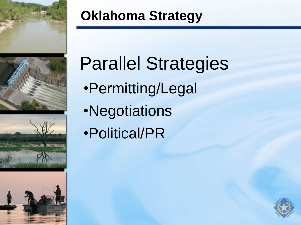







# Parallel Strategies

- •Permitting/Legal
- •Negotiations
- •Political/PR

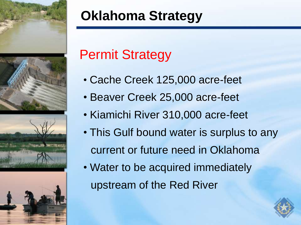





## Permit Strategy

- Cache Creek 125,000 acre-feet
- Beaver Creek 25,000 acre-feet
- Kiamichi River 310,000 acre-feet
- This Gulf bound water is surplus to any current or future need in Oklahoma
- Water to be acquired immediately upstream of the Red River

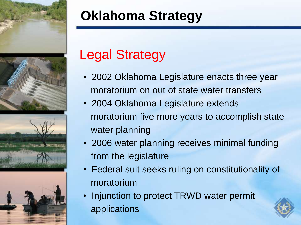







#### Legal Strategy

- 2002 Oklahoma Legislature enacts three year moratorium on out of state water transfers
- 2004 Oklahoma Legislature extends moratorium five more years to accomplish state water planning
- 2006 water planning receives minimal funding from the legislature
- Federal suit seeks ruling on constitutionality of moratorium
- Injunction to protect TRWD water permit applications

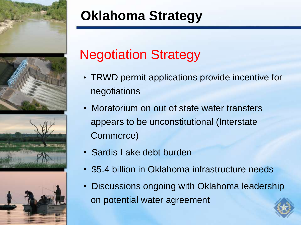







## Negotiation Strategy

- TRWD permit applications provide incentive for negotiations
- Moratorium on out of state water transfers appears to be unconstitutional (Interstate Commerce)
- Sardis Lake debt burden
- \$5.4 billion in Oklahoma infrastructure needs
- Discussions ongoing with Oklahoma leadership on potential water agreement

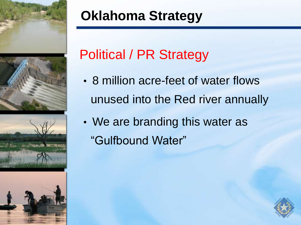





## Political / PR Strategy

- 8 million acre-feet of water flows unused into the Red river annually
- We are branding this water as "Gulfbound Water"